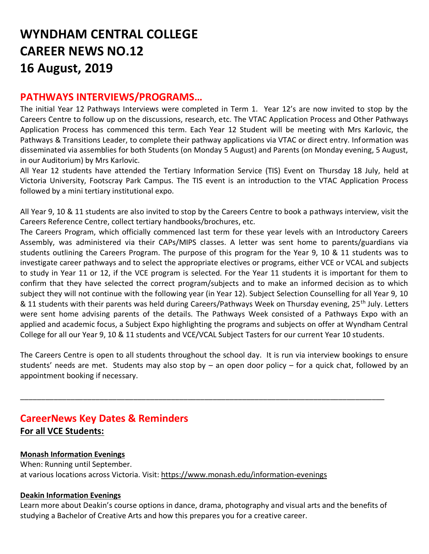# **WYNDHAM CENTRAL COLLEGE CAREER NEWS NO.12 16 August, 2019**

## **PATHWAYS INTERVIEWS/PROGRAMS…**

The initial Year 12 Pathways Interviews were completed in Term 1. Year 12's are now invited to stop by the Careers Centre to follow up on the discussions, research, etc. The VTAC Application Process and Other Pathways Application Process has commenced this term. Each Year 12 Student will be meeting with Mrs Karlovic, the Pathways & Transitions Leader, to complete their pathway applications via VTAC or direct entry. Information was disseminated via assemblies for both Students (on Monday 5 August) and Parents (on Monday evening, 5 August, in our Auditorium) by Mrs Karlovic.

All Year 12 students have attended the Tertiary Information Service (TIS) Event on Thursday 18 July, held at Victoria University, Footscray Park Campus. The TIS event is an introduction to the VTAC Application Process followed by a mini tertiary institutional expo.

All Year 9, 10 & 11 students are also invited to stop by the Careers Centre to book a pathways interview, visit the Careers Reference Centre, collect tertiary handbooks/brochures, etc.

The Careers Program, which officially commenced last term for these year levels with an Introductory Careers Assembly, was administered via their CAPs/MIPS classes. A letter was sent home to parents/guardians via students outlining the Careers Program. The purpose of this program for the Year 9, 10 & 11 students was to investigate career pathways and to select the appropriate electives or programs, either VCE or VCAL and subjects to study in Year 11 or 12, if the VCE program is selected. For the Year 11 students it is important for them to confirm that they have selected the correct program/subjects and to make an informed decision as to which subject they will not continue with the following year (in Year 12). Subject Selection Counselling for all Year 9, 10 & 11 students with their parents was held during Careers/Pathways Week on Thursday evening, 25<sup>th</sup> July. Letters were sent home advising parents of the details. The Pathways Week consisted of a Pathways Expo with an applied and academic focus, a Subject Expo highlighting the programs and subjects on offer at Wyndham Central College for all our Year 9, 10 & 11 students and VCE/VCAL Subject Tasters for our current Year 10 students.

The Careers Centre is open to all students throughout the school day. It is run via interview bookings to ensure students' needs are met. Students may also stop by – an open door policy – for a quick chat, followed by an appointment booking if necessary.

\_\_\_\_\_\_\_\_\_\_\_\_\_\_\_\_\_\_\_\_\_\_\_\_\_\_\_\_\_\_\_\_\_\_\_\_\_\_\_\_\_\_\_\_\_\_\_\_\_\_\_\_\_\_\_\_\_\_\_\_\_\_\_\_\_\_\_\_\_\_\_\_\_\_\_\_\_\_\_\_\_\_\_\_\_\_\_

## **CareerNews Key Dates & Reminders For all VCE Students:**

#### **Monash Information Evenings**

When: Running until September. at various locations across Victoria. Visit:<https://www.monash.edu/information-evenings>

#### **Deakin Information Evenings**

Learn more about Deakin's course options in dance, drama, photography and visual arts and the benefits of studying a Bachelor of Creative Arts and how this prepares you for a creative career.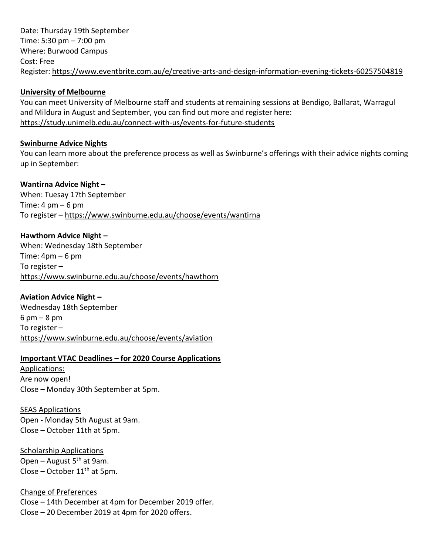Date: Thursday 19th September Time: 5:30 pm – 7:00 pm Where: Burwood Campus Cost: Free Register:<https://www.eventbrite.com.au/e/creative-arts-and-design-information-evening-tickets-60257504819>

#### **University of Melbourne**

You can meet University of Melbourne staff and students at remaining sessions at Bendigo, Ballarat, Warragul and Mildura in August and September, you can find out more and register here: <https://study.unimelb.edu.au/connect-with-us/events-for-future-students>

#### **Swinburne Advice Nights**

You can learn more about the preference process as well as Swinburne's offerings with their advice nights coming up in September:

#### **Wantirna Advice Night –**

When: Tuesay 17th September Time:  $4 \text{ pm} - 6 \text{ pm}$ To register – <https://www.swinburne.edu.au/choose/events/wantirna>

#### **Hawthorn Advice Night –**

When: Wednesday 18th September Time:  $4$ pm – 6 pm To register – <https://www.swinburne.edu.au/choose/events/hawthorn>

#### **Aviation Advice Night –**

Wednesday 18th September 6 pm – 8 pm To register – <https://www.swinburne.edu.au/choose/events/aviation>

#### **Important VTAC Deadlines – for 2020 Course Applications**

Applications: Are now open! Close – Monday 30th September at 5pm.

SEAS Applications Open - Monday 5th August at 9am. Close – October 11th at 5pm.

Scholarship Applications Open – August  $5<sup>th</sup>$  at 9am. Close – October  $11<sup>th</sup>$  at 5pm.

Change of Preferences Close – 14th December at 4pm for December 2019 offer. Close – 20 December 2019 at 4pm for 2020 offers.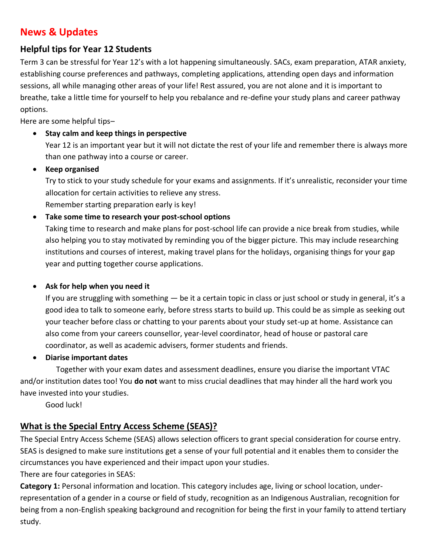# **News & Updates**

#### **Helpful tips for Year 12 Students**

Term 3 can be stressful for Year 12's with a lot happening simultaneously. SACs, exam preparation, ATAR anxiety, establishing course preferences and pathways, completing applications, attending open days and information sessions, all while managing other areas of your life! Rest assured, you are not alone and it is important to breathe, take a little time for yourself to help you rebalance and re-define your study plans and career pathway options.

Here are some helpful tips–

#### • **Stay calm and keep things in perspective**

Year 12 is an important year but it will not dictate the rest of your life and remember there is always more than one pathway into a course or career.

#### • **Keep organised**

Try to stick to your study schedule for your exams and assignments. If it's unrealistic, reconsider your time allocation for certain activities to relieve any stress.

Remember starting preparation early is key!

#### • **Take some time to research your post-school options**

Taking time to research and make plans for post-school life can provide a nice break from studies, while also helping you to stay motivated by reminding you of the bigger picture. This may include researching institutions and courses of interest, making travel plans for the holidays, organising things for your gap year and putting together course applications.

#### • **Ask for help when you need it**

If you are struggling with something  $-$  be it a certain topic in class or just school or study in general, it's a good idea to talk to someone early, before stress starts to build up. This could be as simple as seeking out your teacher before class or chatting to your parents about your study set-up at home. Assistance can also come from your careers counsellor, year-level coordinator, head of house or pastoral care coordinator, as well as academic advisers, former students and friends.

#### • **Diarise important dates**

Together with your exam dates and assessment deadlines, ensure you diarise the important VTAC and/or institution dates too! You **do not** want to miss crucial deadlines that may hinder all the hard work you have invested into your studies.

Good luck!

#### **What is the Special Entry Access Scheme (SEAS)?**

The Special Entry Access Scheme (SEAS) allows selection officers to grant special consideration for course entry. SEAS is designed to make sure institutions get a sense of your full potential and it enables them to consider the circumstances you have experienced and their impact upon your studies.

There are four categories in SEAS:

**Category 1:** Personal information and location. This category includes age, living or school location, underrepresentation of a gender in a course or field of study, recognition as an Indigenous Australian, recognition for being from a non-English speaking background and recognition for being the first in your family to attend tertiary study.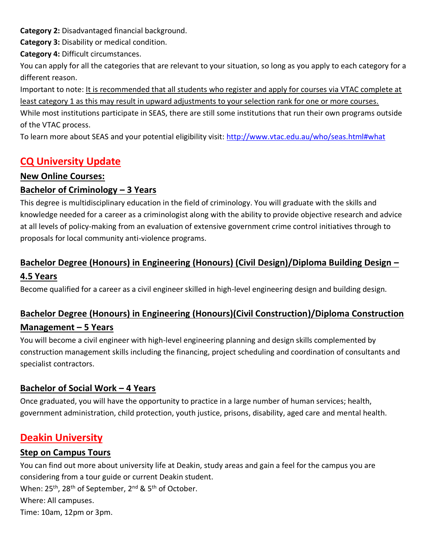**Category 2:** Disadvantaged financial background.

**Category 3:** Disability or medical condition.

**Category 4:** Difficult circumstances.

You can apply for all the categories that are relevant to your situation, so long as you apply to each category for a different reason.

Important to note: It is recommended that all students who register and apply for courses via VTAC complete at least category 1 as this may result in upward adjustments to your selection rank for one or more courses.

While most institutions participate in SEAS, there are still some institutions that run their own programs outside of the VTAC process.

To learn more about SEAS and your potential eligibility visit:<http://www.vtac.edu.au/who/seas.html#what>

# **CQ University Update**

#### **New Online Courses:**

#### **Bachelor of Criminology – 3 Years**

This degree is multidisciplinary education in the field of criminology. You will graduate with the skills and knowledge needed for a career as a criminologist along with the ability to provide objective research and advice at all levels of policy-making from an evaluation of extensive government crime control initiatives through to proposals for local community anti-violence programs.

# **Bachelor Degree (Honours) in Engineering (Honours) (Civil Design)/Diploma Building Design –**

#### **4.5 Years**

Become qualified for a career as a civil engineer skilled in high-level engineering design and building design.

## **Bachelor Degree (Honours) in Engineering (Honours)(Civil Construction)/Diploma Construction Management – 5 Years**

You will become a civil engineer with high-level engineering planning and design skills complemented by construction management skills including the financing, project scheduling and coordination of consultants and specialist contractors.

#### **Bachelor of Social Work – 4 Years**

Once graduated, you will have the opportunity to practice in a large number of human services; health, government administration, child protection, youth justice, prisons, disability, aged care and mental health.

# **Deakin University**

#### **Step on Campus Tours**

You can find out more about university life at Deakin, study areas and gain a feel for the campus you are considering from a tour guide or current Deakin student.

When: 25<sup>th</sup>, 28<sup>th</sup> of September, 2<sup>nd</sup> & 5<sup>th</sup> of October.

Where: All campuses.

Time: 10am, 12pm or 3pm.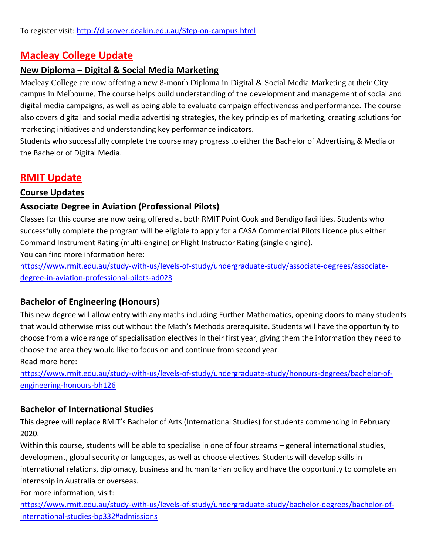# **Macleay College Update**

#### **New Diploma – Digital & Social Media Marketing**

Macleay College are now offering a new 8-month Diploma in Digital & Social Media Marketing at their City campus in Melbourne. The course helps build understanding of the development and management of social and digital media campaigns, as well as being able to evaluate campaign effectiveness and performance. The course also covers digital and social media advertising strategies, the key principles of marketing, creating solutions for marketing initiatives and understanding key performance indicators.

Students who successfully complete the course may progress to either the Bachelor of Advertising & Media or the Bachelor of Digital Media.

## **RMIT Update**

#### **Course Updates**

#### **Associate Degree in Aviation (Professional Pilots)**

Classes for this course are now being offered at both RMIT Point Cook and Bendigo facilities. Students who successfully complete the program will be eligible to apply for a CASA Commercial Pilots Licence plus either Command Instrument Rating (multi-engine) or Flight Instructor Rating (single engine).

You can find more information here:

[https://www.rmit.edu.au/study-with-us/levels-of-study/undergraduate-study/associate-degrees/associate](https://www.rmit.edu.au/study-with-us/levels-of-study/undergraduate-study/associate-degrees/associate-degree-in-aviation-professional-pilots-ad023)[degree-in-aviation-professional-pilots-ad023](https://www.rmit.edu.au/study-with-us/levels-of-study/undergraduate-study/associate-degrees/associate-degree-in-aviation-professional-pilots-ad023)

#### **Bachelor of Engineering (Honours)**

This new degree will allow entry with any maths including Further Mathematics, opening doors to many students that would otherwise miss out without the Math's Methods prerequisite. Students will have the opportunity to choose from a wide range of specialisation electives in their first year, giving them the information they need to choose the area they would like to focus on and continue from second year. Read more here:

[https://www.rmit.edu.au/study-with-us/levels-of-study/undergraduate-study/honours-degrees/bachelor-of](https://www.rmit.edu.au/study-with-us/levels-of-study/undergraduate-study/honours-degrees/bachelor-of-engineering-honours-bh126)[engineering-honours-bh126](https://www.rmit.edu.au/study-with-us/levels-of-study/undergraduate-study/honours-degrees/bachelor-of-engineering-honours-bh126)

#### **Bachelor of International Studies**

This degree will replace RMIT's Bachelor of Arts (International Studies) for students commencing in February 2020.

Within this course, students will be able to specialise in one of four streams – general international studies, development, global security or languages, as well as choose electives. Students will develop skills in international relations, diplomacy, business and humanitarian policy and have the opportunity to complete an internship in Australia or overseas.

For more information, visit:

[https://www.rmit.edu.au/study-with-us/levels-of-study/undergraduate-study/bachelor-degrees/bachelor-of](https://www.rmit.edu.au/study-with-us/levels-of-study/undergraduate-study/bachelor-degrees/bachelor-of-international-studies-bp332#admissions)[international-studies-bp332#admissions](https://www.rmit.edu.au/study-with-us/levels-of-study/undergraduate-study/bachelor-degrees/bachelor-of-international-studies-bp332#admissions)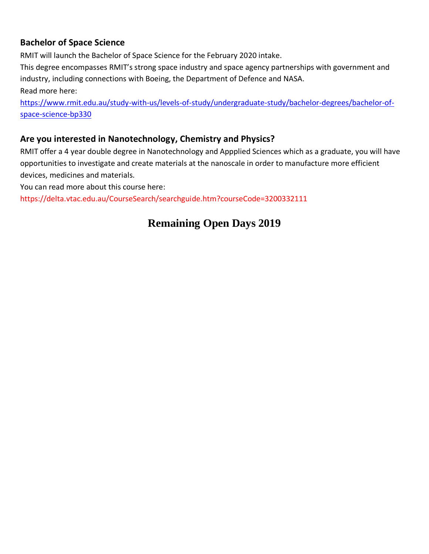#### **Bachelor of Space Science**

RMIT will launch the Bachelor of Space Science for the February 2020 intake.

This degree encompasses RMIT's strong space industry and space agency partnerships with government and industry, including connections with Boeing, the Department of Defence and NASA. Read more here:

[https://www.rmit.edu.au/study-with-us/levels-of-study/undergraduate-study/bachelor-degrees/bachelor-of](https://www.rmit.edu.au/study-with-us/levels-of-study/undergraduate-study/bachelor-degrees/bachelor-of-space-science-bp330)[space-science-bp330](https://www.rmit.edu.au/study-with-us/levels-of-study/undergraduate-study/bachelor-degrees/bachelor-of-space-science-bp330)

#### **Are you interested in Nanotechnology, Chemistry and Physics?**

RMIT offer a 4 year double degree in Nanotechnology and Appplied Sciences which as a graduate, you will have opportunities to investigate and create materials at the nanoscale in order to manufacture more efficient devices, medicines and materials.

You can read more about this course here:

https://delta.vtac.edu.au/CourseSearch/searchguide.htm?courseCode=3200332111

# **Remaining Open Days 2019**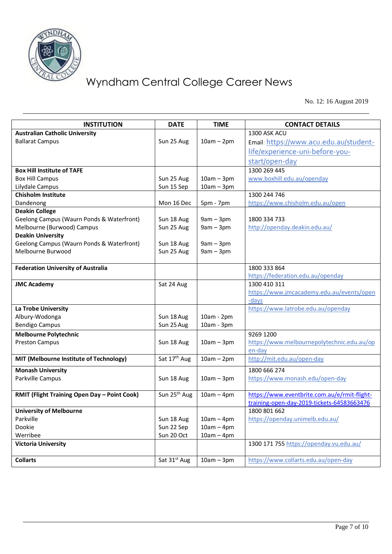

No. 12: 16 August 2019

| <b>INSTITUTION</b>                                  | <b>DATE</b>              | <b>TIME</b>  | <b>CONTACT DETAILS</b>                             |
|-----------------------------------------------------|--------------------------|--------------|----------------------------------------------------|
| <b>Australian Catholic University</b>               |                          |              | 1300 ASK ACU                                       |
| <b>Ballarat Campus</b>                              | Sun 25 Aug               | $10am - 2pm$ | Email: https://www.acu.edu.au/student-             |
|                                                     |                          |              | life/experience-uni-before-you-                    |
|                                                     |                          |              | start/open-day                                     |
| <b>Box Hill Institute of TAFE</b>                   |                          |              | 1300 269 445                                       |
| <b>Box Hill Campus</b>                              | Sun 25 Aug               | $10am - 3pm$ | www.boxhill.edu.au/openday                         |
| Lilydale Campus                                     | Sun 15 Sep               | $10am - 3pm$ |                                                    |
| <b>Chisholm Institute</b>                           |                          |              | 1300 244 746                                       |
| Dandenong                                           | Mon 16 Dec               | 5pm - 7pm    | https://www.chisholm.edu.au/open                   |
| <b>Deakin College</b>                               |                          |              |                                                    |
| Geelong Campus (Waurn Ponds & Waterfront)           | Sun 18 Aug               | $9am - 3pm$  | 1800 334 733                                       |
| Melbourne (Burwood) Campus                          | Sun 25 Aug               | $9am - 3pm$  | http://openday.deakin.edu.au/                      |
| <b>Deakin University</b>                            |                          |              |                                                    |
| Geelong Campus (Waurn Ponds & Waterfront)           | Sun 18 Aug               | $9am - 3pm$  |                                                    |
| Melbourne Burwood                                   | Sun 25 Aug               | $9am - 3pm$  |                                                    |
|                                                     |                          |              |                                                    |
| <b>Federation University of Australia</b>           |                          |              | 1800 333 864                                       |
|                                                     |                          |              | https://federation.edu.au/openday                  |
| <b>JMC Academy</b>                                  | Sat 24 Aug               |              | 1300 410 311                                       |
|                                                     |                          |              | https://www.jmcacademy.edu.au/events/open<br>-days |
| La Trobe University                                 |                          |              | https://www.latrobe.edu.au/openday                 |
| Albury-Wodonga                                      | Sun 18 Aug               | 10am - 2pm   |                                                    |
| <b>Bendigo Campus</b>                               | Sun 25 Aug               | 10am - 3pm   |                                                    |
| <b>Melbourne Polytechnic</b>                        |                          |              | 9269 1200                                          |
| <b>Preston Campus</b>                               | Sun 18 Aug               | $10am - 3pm$ | https://www.melbournepolytechnic.edu.au/op         |
|                                                     |                          |              | en-day                                             |
| MIT (Melbourne Institute of Technology)             | Sat 17 <sup>th</sup> Aug | $10am - 2pm$ | http://mit.edu.au/open-day                         |
| <b>Monash University</b>                            |                          |              | 1800 666 274                                       |
| Parkville Campus                                    | Sun 18 Aug               | $10am - 3pm$ | https://www.monash.edu/open-day                    |
|                                                     |                          |              |                                                    |
| <b>RMIT (Flight Training Open Day - Point Cook)</b> | Sun 25 <sup>th</sup> Aug | $10am - 4pm$ | https://www.eventbrite.com.au/e/rmit-flight-       |
|                                                     |                          |              | training-open-day-2019-tickets-64583663476         |
| <b>University of Melbourne</b>                      |                          |              | 1800 801 662                                       |
| Parkville                                           | Sun 18 Aug               | $10am - 4pm$ | https://openday.unimelb.edu.au/                    |
| Dookie                                              | Sun 22 Sep               | $10am - 4pm$ |                                                    |
| Werribee                                            | Sun 20 Oct               | $10am - 4pm$ |                                                    |
| <b>Victoria University</b>                          |                          |              | 1300 171 755 https://openday.vu.edu.au/            |
| <b>Collarts</b>                                     | Sat 31 <sup>st</sup> Aug | $10am - 3pm$ | https://www.collarts.edu.au/open-day               |
|                                                     |                          |              |                                                    |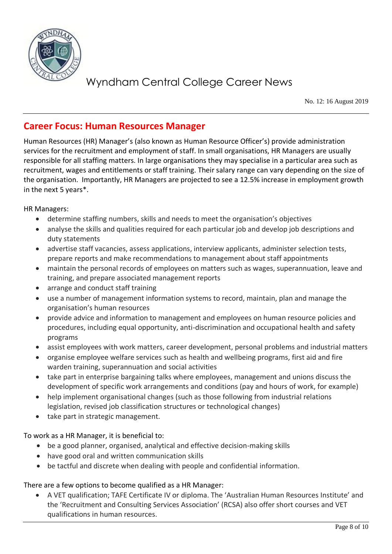

No. 12: 16 August 2019

### **Career Focus: Human Resources Manager**

Human Resources (HR) Manager's (also known as Human Resource Officer's) provide administration services for the recruitment and employment of staff. In small organisations, HR Managers are usually responsible for all staffing matters. In large organisations they may specialise in a particular area such as recruitment, wages and entitlements or staff training. Their salary range can vary depending on the size of the organisation. Importantly, HR Managers are projected to see a 12.5% increase in employment growth in the next 5 years\*.

HR Managers:

- determine staffing numbers, skills and needs to meet the organisation's objectives
- analyse the skills and qualities required for each particular job and develop job descriptions and duty statements
- advertise staff vacancies, assess applications, interview applicants, administer selection tests, prepare reports and make recommendations to management about staff appointments
- maintain the personal records of employees on matters such as wages, superannuation, leave and training, and prepare associated management reports
- arrange and conduct staff training
- use a number of management information systems to record, maintain, plan and manage the organisation's human resources
- provide advice and information to management and employees on human resource policies and procedures, including equal opportunity, anti-discrimination and occupational health and safety programs
- assist employees with work matters, career development, personal problems and industrial matters
- organise employee welfare services such as health and wellbeing programs, first aid and fire warden training, superannuation and social activities
- take part in enterprise bargaining talks where employees, management and unions discuss the development of specific work arrangements and conditions (pay and hours of work, for example)
- help implement organisational changes (such as those following from industrial relations legislation, revised job classification structures or technological changes)
- take part in strategic management.

To work as a HR Manager, it is beneficial to:

- be a good planner, organised, analytical and effective decision-making skills
- have good oral and written communication skills
- be tactful and discrete when dealing with people and confidential information.

There are a few options to become qualified as a HR Manager:

• A VET qualification; TAFE Certificate IV or diploma. The 'Australian Human Resources Institute' and the 'Recruitment and Consulting Services Association' (RCSA) also offer short courses and VET qualifications in human resources.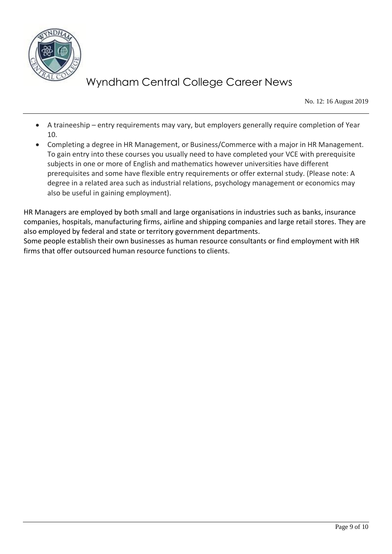

No. 12: 16 August 2019

- A traineeship entry requirements may vary, but employers generally require completion of Year 10.
- Completing a degree in HR Management, or Business/Commerce with a major in HR Management. To gain entry into these courses you usually need to have completed your VCE with prerequisite subjects in one or more of English and mathematics however universities have different prerequisites and some have flexible entry requirements or offer external study. (Please note: A degree in a related area such as industrial relations, psychology management or economics may also be useful in gaining employment).

HR Managers are employed by both small and large organisations in industries such as banks, insurance companies, hospitals, manufacturing firms, airline and shipping companies and large retail stores. They are also employed by federal and state or territory government departments.

Some people establish their own businesses as human resource consultants or find employment with HR firms that offer outsourced human resource functions to clients.